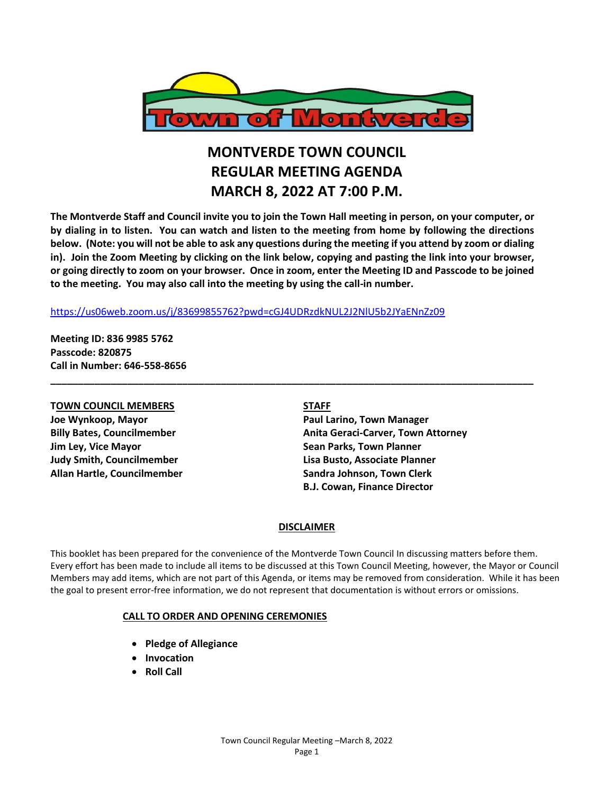

## **MONTVERDE TOWN COUNCIL REGULAR MEETING AGENDA MARCH 8, 2022 AT 7:00 P.M.**

**The Montverde Staff and Council invite you to join the Town Hall meeting in person, on your computer, or by dialing in to listen. You can watch and listen to the meeting from home by following the directions below. (Note: you will not be able to ask any questions during the meeting if you attend by zoom or dialing in). Join the Zoom Meeting by clicking on the link below, copying and pasting the link into your browser, or going directly to zoom on your browser. Once in zoom, enter the Meeting ID and Passcode to be joined to the meeting. You may also call into the meeting by using the call-in number.** 

**\_\_\_\_\_\_\_\_\_\_\_\_\_\_\_\_\_\_\_\_\_\_\_\_\_\_\_\_\_\_\_\_\_\_\_\_\_\_\_\_\_\_\_\_\_\_\_\_\_\_\_\_\_\_\_\_\_\_\_\_\_\_\_\_\_\_\_\_\_\_\_\_\_\_\_\_\_\_\_\_\_\_\_\_\_\_\_\_**

#### <https://us06web.zoom.us/j/83699855762?pwd=cGJ4UDRzdkNUL2J2NlU5b2JYaENnZz09>

**Meeting ID: 836 9985 5762 Passcode: 820875 Call in Number: 646-558-8656**

# **TOWN COUNCIL MEMBERS STAFF**

**Jim Ley, Vice Mayor Sean Parks, Town Planner Allan Hartle, Councilmember Sandra Johnson, Town Clerk**

**Joe Wynkoop, Mayor Paul Larino, Town Manager Billy Bates, Councilmember Anita Geraci-Carver, Town Attorney Judy Smith, Councilmember Lisa Busto, Associate Planner B.J. Cowan, Finance Director**

#### **DISCLAIMER**

This booklet has been prepared for the convenience of the Montverde Town Council In discussing matters before them. Every effort has been made to include all items to be discussed at this Town Council Meeting, however, the Mayor or Council Members may add items, which are not part of this Agenda, or items may be removed from consideration. While it has been the goal to present error-free information, we do not represent that documentation is without errors or omissions.

#### **CALL TO ORDER AND OPENING CEREMONIES**

- **Pledge of Allegiance**
- **Invocation**
- **Roll Call**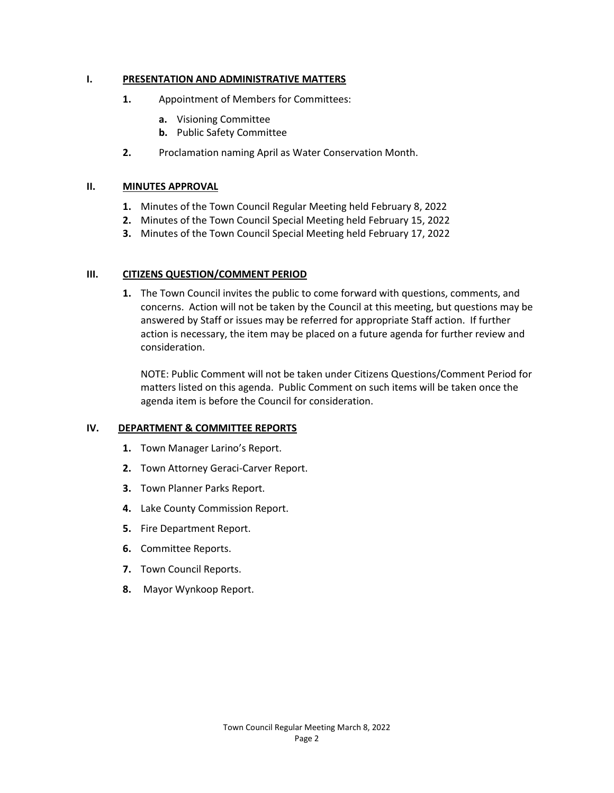#### **I. PRESENTATION AND ADMINISTRATIVE MATTERS**

- **1.** Appointment of Members for Committees:
	- **a.** Visioning Committee
	- **b.** Public Safety Committee
- **2.** Proclamation naming April as Water Conservation Month.

#### **II. MINUTES APPROVAL**

- **1.** Minutes of the Town Council Regular Meeting held February 8, 2022
- **2.** Minutes of the Town Council Special Meeting held February 15, 2022
- **3.** Minutes of the Town Council Special Meeting held February 17, 2022

#### **III. CITIZENS QUESTION/COMMENT PERIOD**

**1.** The Town Council invites the public to come forward with questions, comments, and concerns. Action will not be taken by the Council at this meeting, but questions may be answered by Staff or issues may be referred for appropriate Staff action. If further action is necessary, the item may be placed on a future agenda for further review and consideration.

NOTE: Public Comment will not be taken under Citizens Questions/Comment Period for matters listed on this agenda. Public Comment on such items will be taken once the agenda item is before the Council for consideration.

#### **IV. DEPARTMENT & COMMITTEE REPORTS**

- **1.** Town Manager Larino's Report.
- **2.** Town Attorney Geraci-Carver Report.
- **3.** Town Planner Parks Report.
- **4.** Lake County Commission Report.
- **5.** Fire Department Report.
- **6.** Committee Reports.
- **7.** Town Council Reports.
- **8.** Mayor Wynkoop Report.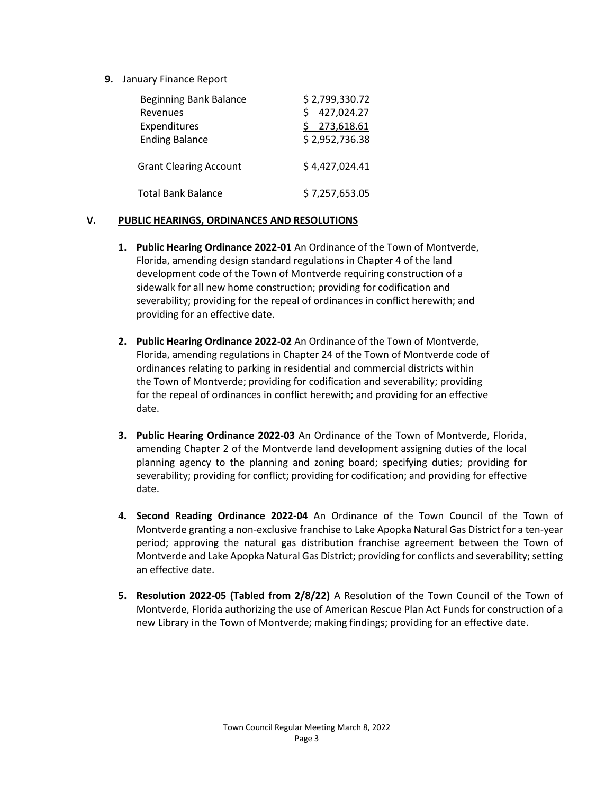**9.** January Finance Report

| <b>Beginning Bank Balance</b> | \$2,799,330.72 |
|-------------------------------|----------------|
| Revenues                      | 427,024.27     |
| Expenditures                  | \$273,618.61   |
| <b>Ending Balance</b>         | \$2,952,736.38 |
| <b>Grant Clearing Account</b> | \$4,427,024.41 |
| <b>Total Bank Balance</b>     | \$7,257,653.05 |

### **V. PUBLIC HEARINGS, ORDINANCES AND RESOLUTIONS**

- **1. Public Hearing Ordinance 2022-01** An Ordinance of the Town of Montverde, Florida, amending design standard regulations in Chapter 4 of the land development code of the Town of Montverde requiring construction of a sidewalk for all new home construction; providing for codification and severability; providing for the repeal of ordinances in conflict herewith; and providing for an effective date.
- **2. Public Hearing Ordinance 2022-02** An Ordinance of the Town of Montverde, Florida, amending regulations in Chapter 24 of the Town of Montverde code of ordinances relating to parking in residential and commercial districts within the Town of Montverde; providing for codification and severability; providing for the repeal of ordinances in conflict herewith; and providing for an effective date.
- **3. Public Hearing Ordinance 2022-03** An Ordinance of the Town of Montverde, Florida, amending Chapter 2 of the Montverde land development assigning duties of the local planning agency to the planning and zoning board; specifying duties; providing for severability; providing for conflict; providing for codification; and providing for effective date.
- **4. Second Reading Ordinance 2022-04** An Ordinance of the Town Council of the Town of Montverde granting a non-exclusive franchise to Lake Apopka Natural Gas District for a ten-year period; approving the natural gas distribution franchise agreement between the Town of Montverde and Lake Apopka Natural Gas District; providing for conflicts and severability; setting an effective date.
- **5. Resolution 2022-05 (Tabled from 2/8/22)** A Resolution of the Town Council of the Town of Montverde, Florida authorizing the use of American Rescue Plan Act Funds for construction of a new Library in the Town of Montverde; making findings; providing for an effective date.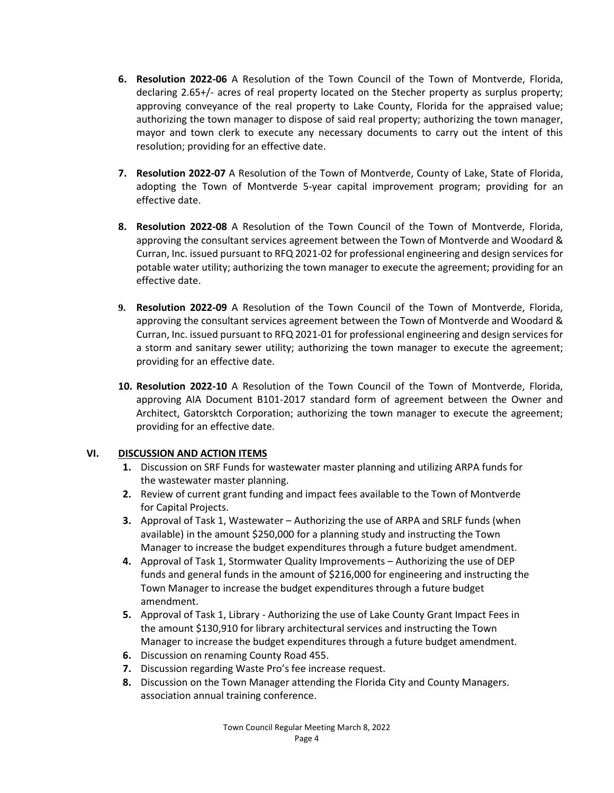- **6. Resolution 2022-06** A Resolution of the Town Council of the Town of Montverde, Florida, declaring 2.65+/- acres of real property located on the Stecher property as surplus property; approving conveyance of the real property to Lake County, Florida for the appraised value; authorizing the town manager to dispose of said real property; authorizing the town manager, mayor and town clerk to execute any necessary documents to carry out the intent of this resolution; providing for an effective date.
- **7. Resolution 2022-07** A Resolution of the Town of Montverde, County of Lake, State of Florida, adopting the Town of Montverde 5-year capital improvement program; providing for an effective date.
- **8. Resolution 2022-08** A Resolution of the Town Council of the Town of Montverde, Florida, approving the consultant services agreement between the Town of Montverde and Woodard & Curran, Inc. issued pursuant to RFQ 2021-02 for professional engineering and design services for potable water utility; authorizing the town manager to execute the agreement; providing for an effective date.
- **9. Resolution 2022-09** A Resolution of the Town Council of the Town of Montverde, Florida, approving the consultant services agreement between the Town of Montverde and Woodard & Curran, Inc. issued pursuant to RFQ 2021-01 for professional engineering and design services for a storm and sanitary sewer utility; authorizing the town manager to execute the agreement; providing for an effective date.
- **10. Resolution 2022-10** A Resolution of the Town Council of the Town of Montverde, Florida, approving AIA Document B101-2017 standard form of agreement between the Owner and Architect, Gatorsktch Corporation; authorizing the town manager to execute the agreement; providing for an effective date.

#### **VI. DISCUSSION AND ACTION ITEMS**

- **1.** Discussion on SRF Funds for wastewater master planning and utilizing ARPA funds for the wastewater master planning.
- **2.** Review of current grant funding and impact fees available to the Town of Montverde for Capital Projects.
- **3.** Approval of Task 1, Wastewater Authorizing the use of ARPA and SRLF funds (when available) in the amount \$250,000 for a planning study and instructing the Town Manager to increase the budget expenditures through a future budget amendment.
- **4.** Approval of Task 1, Stormwater Quality Improvements Authorizing the use of DEP funds and general funds in the amount of \$216,000 for engineering and instructing the Town Manager to increase the budget expenditures through a future budget amendment.
- **5.** Approval of Task 1, Library Authorizing the use of Lake County Grant Impact Fees in the amount \$130,910 for library architectural services and instructing the Town Manager to increase the budget expenditures through a future budget amendment.
- **6.** Discussion on renaming County Road 455.
- **7.** Discussion regarding Waste Pro's fee increase request.
- **8.** Discussion on the Town Manager attending the Florida City and County Managers. association annual training conference.